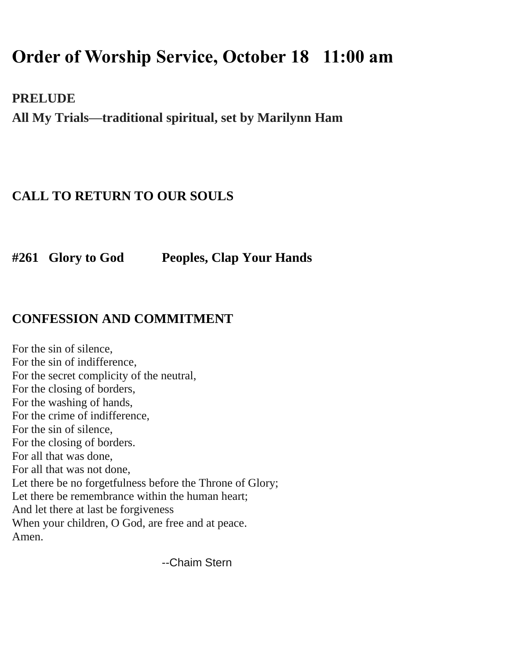# **Order of Worship Service, October 18 11:00 am**

**PRELUDE**

**All My Trials—traditional spiritual, set by Marilynn Ham**

### **CALL TO RETURN TO OUR SOULS**

**#261 Glory to God Peoples, Clap Your Hands**

#### **CONFESSION AND COMMITMENT**

For the sin of silence, For the sin of indifference, For the secret complicity of the neutral, For the closing of borders, For the washing of hands, For the crime of indifference, For the sin of silence, For the closing of borders. For all that was done, For all that was not done, Let there be no forgetfulness before the Throne of Glory; Let there be remembrance within the human heart; And let there at last be forgiveness When your children, O God, are free and at peace. Amen.

--Chaim Stern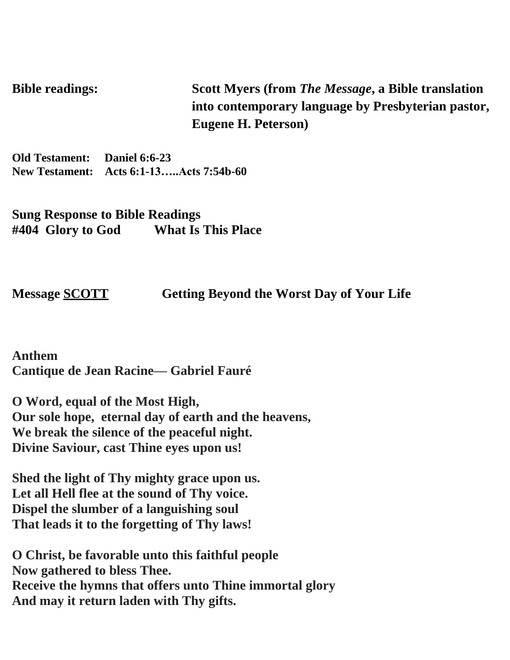**Bible readings: Scott Myers (from** *The Message***, a Bible translation into contemporary language by Presbyterian pastor, Eugene H. Peterson)**

**Old Testament: Daniel 6:6-23 New Testament: Acts 6:1-13…..Acts 7:54b-60**

**Sung Response to Bible Readings #404 Glory to God What Is This Place**

**Message SCOTT****Getting Beyond the Worst Day of Your Life**

**Anthem Cantique de Jean Racine— Gabriel Fauré**

**O Word, equal of the Most High, Our sole hope, eternal day of earth and the heavens, We break the silence of the peaceful night. Divine Saviour, cast Thine eyes upon us!**

**Shed the light of Thy mighty grace upon us. Let all Hell flee at the sound of Thy voice. Dispel the slumber of a languishing soul That leads it to the forgetting of Thy laws!**

**O Christ, be favorable unto this faithful people Now gathered to bless Thee. Receive the hymns that offers unto Thine immortal glory And may it return laden with Thy gifts.**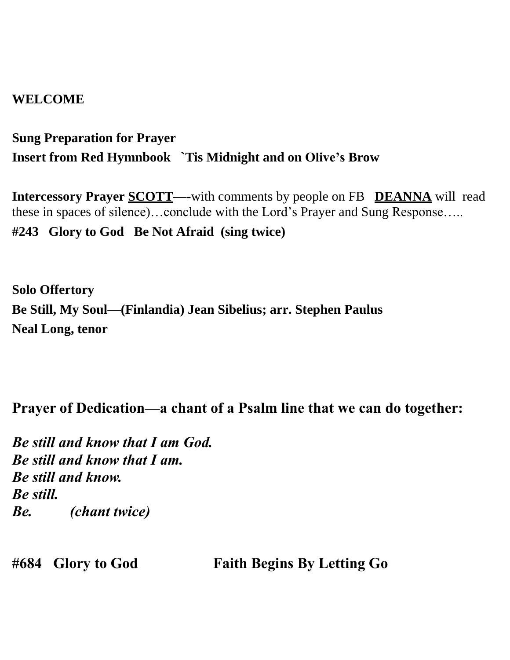#### **WELCOME**

**Sung Preparation for Prayer Insert from Red Hymnbook `Tis Midnight and on Olive's Brow** 

**Intercessory Prayer SCOTT—-**with comments by people on FB **DEANNA** will read these in spaces of silence)…conclude with the Lord's Prayer and Sung Response….. **#243 Glory to God Be Not Afraid (sing twice)**

**Solo Offertory Be Still, My Soul—(Finlandia) Jean Sibelius; arr. Stephen Paulus Neal Long, tenor** 

#### **Prayer of Dedication—a chant of a Psalm line that we can do together:**

*Be still and know that I am God. Be still and know that I am. Be still and know. Be still. Be. (chant twice)*

**#684 Glory to God Faith Begins By Letting Go**